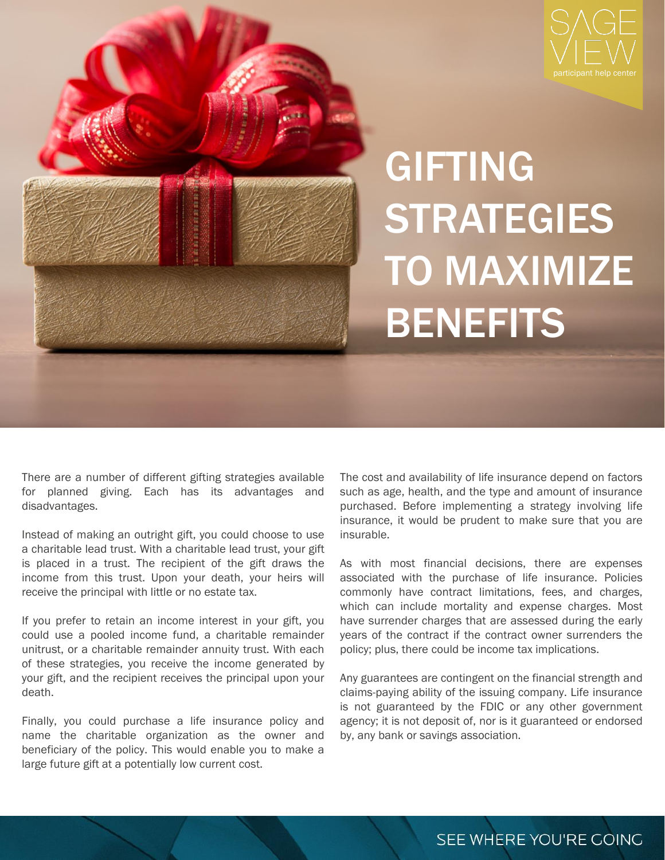



## GIFTING **STRATEGIES** TO MAXIMIZE **BENEFITS**

There are a number of different gifting strategies available for planned giving. Each has its advantages and disadvantages.

Instead of making an outright gift, you could choose to use a charitable lead trust. With a charitable lead trust, your gift is placed in a trust. The recipient of the gift draws the income from this trust. Upon your death, your heirs will receive the principal with little or no estate tax.

If you prefer to retain an income interest in your gift, you could use a pooled income fund, a charitable remainder unitrust, or a charitable remainder annuity trust. With each of these strategies, you receive the income generated by your gift, and the recipient receives the principal upon your death.

Finally, you could purchase a life insurance policy and name the charitable organization as the owner and beneficiary of the policy. This would enable you to make a large future gift at a potentially low current cost.

The cost and availability of life insurance depend on factors such as age, health, and the type and amount of insurance purchased. Before implementing a strategy involving life insurance, it would be prudent to make sure that you are insurable.

As with most financial decisions, there are expenses associated with the purchase of life insurance. Policies commonly have contract limitations, fees, and charges, which can include mortality and expense charges. Most have surrender charges that are assessed during the early years of the contract if the contract owner surrenders the policy; plus, there could be income tax implications.

Any guarantees are contingent on the financial strength and claims-paying ability of the issuing company. Life insurance is not guaranteed by the FDIC or any other government agency; it is not deposit of, nor is it guaranteed or endorsed by, any bank or savings association.